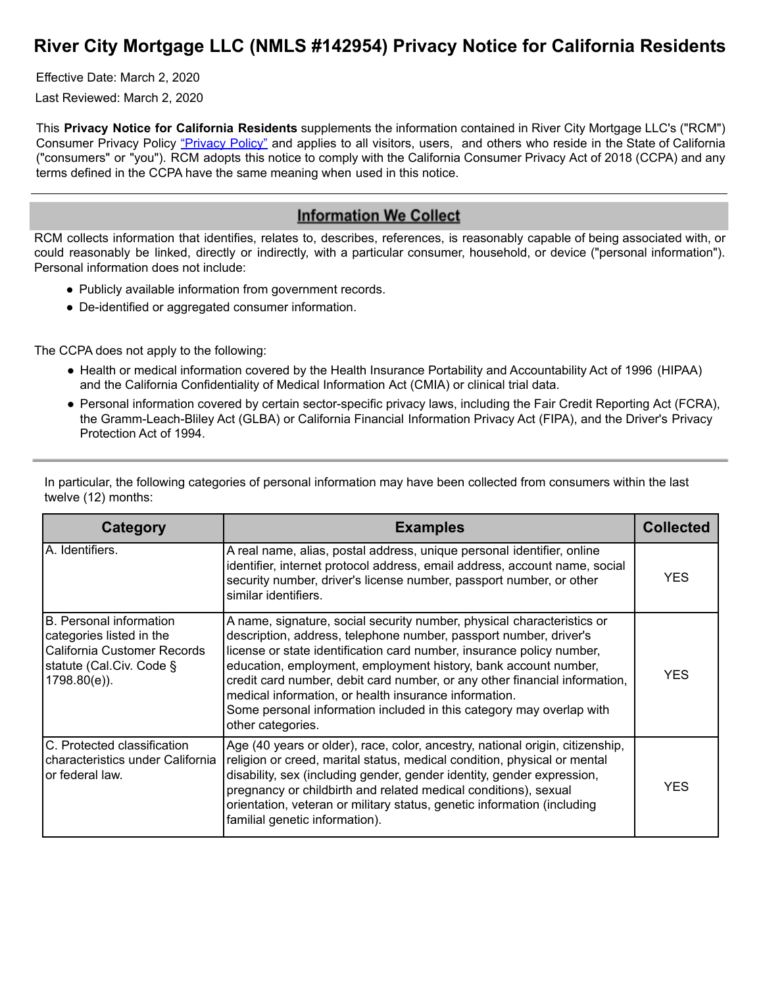# **River City Mortgage LLC (NMLS #142954) Privacy Notice for California Residents**

Effective Date: March 2, 2020

Last Reviewed: March 2, 2020

This **Privacy Notice for California Residents** supplements the information contained in River City Mortgage LLC's ("RCM") Consumer Privacy Policy ["Privacy](https://rchomeloans.com/) Policy" and applies to all visitors, users, and others who reside in the State of California ("consumers" or "you"). RCM adopts this notice to comply with the California Consumer Privacy Act of 2018 (CCPA) and any terms defined in the CCPA have the same meaning when used in this notice.

#### **Information We Collect**

RCM collects information that identifies, relates to, describes, references, is reasonably capable of being associated with, or could reasonably be linked, directly or indirectly, with a particular consumer, household, or device ("personal information"). Personal information does not include:

- Publicly available information from government records.
- De-identified or aggregated consumer information.

The CCPA does not apply to the following:

- Health or medical information covered by the Health Insurance Portability and Accountability Act of 1996 (HIPAA) and the California Confidentiality of Medical Information Act (CMIA) or clinical trial data.
- Personal information covered by certain sector-specific privacy laws, including the Fair Credit Reporting Act (FCRA), the Gramm-Leach-Bliley Act (GLBA) or California Financial Information Privacy Act (FIPA), and the Driver's Privacy Protection Act of 1994.

| Category                                                                                                                          | <b>Examples</b>                                                                                                                                                                                                                                                                                                                                                                                                                                                                                                             | <b>Collected</b> |
|-----------------------------------------------------------------------------------------------------------------------------------|-----------------------------------------------------------------------------------------------------------------------------------------------------------------------------------------------------------------------------------------------------------------------------------------------------------------------------------------------------------------------------------------------------------------------------------------------------------------------------------------------------------------------------|------------------|
| IA. Identifiers.                                                                                                                  | A real name, alias, postal address, unique personal identifier, online<br>identifier, internet protocol address, email address, account name, social<br>security number, driver's license number, passport number, or other<br>similar identifiers.                                                                                                                                                                                                                                                                         | YES              |
| B. Personal information<br>categories listed in the<br>California Customer Records<br>statute (Cal.Civ. Code §<br>$1798.80(e)$ ). | A name, signature, social security number, physical characteristics or<br>description, address, telephone number, passport number, driver's<br>license or state identification card number, insurance policy number,<br>education, employment, employment history, bank account number,<br>credit card number, debit card number, or any other financial information,<br>medical information, or health insurance information.<br>Some personal information included in this category may overlap with<br>other categories. | YFS.             |
| C. Protected classification<br>characteristics under California<br>lor federal law.                                               | Age (40 years or older), race, color, ancestry, national origin, citizenship,<br>religion or creed, marital status, medical condition, physical or mental<br>disability, sex (including gender, gender identity, gender expression,<br>pregnancy or childbirth and related medical conditions), sexual<br>orientation, veteran or military status, genetic information (including<br>familial genetic information).                                                                                                         | YFS.             |

In particular, the following categories of personal information may have been collected from consumers within the last twelve (12) months: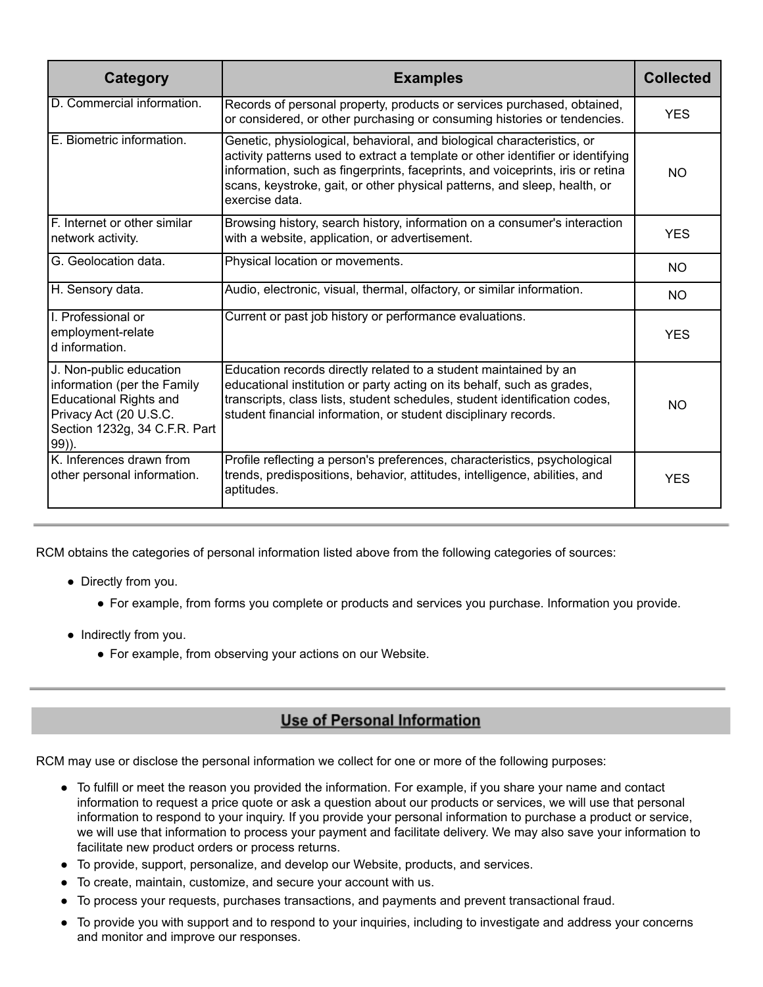| Category                                                                                                                                                       | <b>Examples</b>                                                                                                                                                                                                                                                                                                                            | <b>Collected</b> |
|----------------------------------------------------------------------------------------------------------------------------------------------------------------|--------------------------------------------------------------------------------------------------------------------------------------------------------------------------------------------------------------------------------------------------------------------------------------------------------------------------------------------|------------------|
| D. Commercial information.                                                                                                                                     | Records of personal property, products or services purchased, obtained,<br>or considered, or other purchasing or consuming histories or tendencies.                                                                                                                                                                                        | <b>YES</b>       |
| E. Biometric information.                                                                                                                                      | Genetic, physiological, behavioral, and biological characteristics, or<br>activity patterns used to extract a template or other identifier or identifying<br>information, such as fingerprints, faceprints, and voiceprints, iris or retina<br>scans, keystroke, gait, or other physical patterns, and sleep, health, or<br>exercise data. | <b>NO</b>        |
| F. Internet or other similar<br>network activity.                                                                                                              | Browsing history, search history, information on a consumer's interaction<br>with a website, application, or advertisement.                                                                                                                                                                                                                | <b>YES</b>       |
| G. Geolocation data.                                                                                                                                           | Physical location or movements.                                                                                                                                                                                                                                                                                                            | NO.              |
| H. Sensory data.                                                                                                                                               | Audio, electronic, visual, thermal, olfactory, or similar information.                                                                                                                                                                                                                                                                     | NO.              |
| I. Professional or<br>employment-relate<br>d information.                                                                                                      | Current or past job history or performance evaluations.                                                                                                                                                                                                                                                                                    | <b>YES</b>       |
| J. Non-public education<br>information (per the Family<br><b>Educational Rights and</b><br>Privacy Act (20 U.S.C.<br>Section 1232g, 34 C.F.R. Part<br>$99$ )). | Education records directly related to a student maintained by an<br>educational institution or party acting on its behalf, such as grades,<br>transcripts, class lists, student schedules, student identification codes,<br>student financial information, or student disciplinary records.                                                | NO               |
| K. Inferences drawn from<br>other personal information.                                                                                                        | Profile reflecting a person's preferences, characteristics, psychological<br>trends, predispositions, behavior, attitudes, intelligence, abilities, and<br>aptitudes.                                                                                                                                                                      | <b>YES</b>       |

RCM obtains the categories of personal information listed above from the following categories of sources:

- Directly from you.
	- For example, from forms you complete or products and services you purchase. Information you provide.
- Indirectly from you.
	- For example, from observing your actions on our Website.

## **Use of Personal Information**

RCM may use or disclose the personal information we collect for one or more of the following purposes:

- To fulfill or meet the reason you provided the information. For example, if you share your name and contact information to request a price quote or ask a question about our products or services, we will use that personal information to respond to your inquiry. If you provide your personal information to purchase a product or service, we will use that information to process your payment and facilitate delivery. We may also save your information to facilitate new product orders or process returns.
- To provide, support, personalize, and develop our Website, products, and services.
- To create, maintain, customize, and secure your account with us.
- To process your requests, purchases transactions, and payments and prevent transactional fraud.
- To provide you with support and to respond to your inquiries, including to investigate and address your concerns and monitor and improve our responses.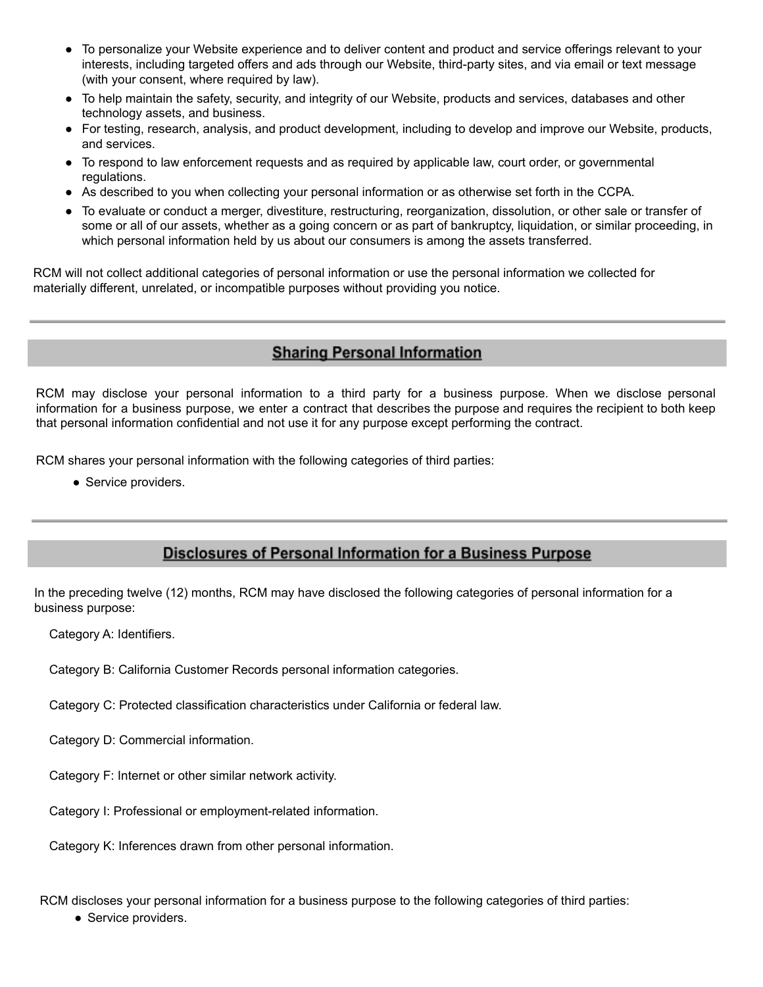- To personalize your Website experience and to deliver content and product and service offerings relevant to your interests, including targeted offers and ads through our Website, third-party sites, and via email or text message (with your consent, where required by law).
- To help maintain the safety, security, and integrity of our Website, products and services, databases and other technology assets, and business.
- For testing, research, analysis, and product development, including to develop and improve our Website, products, and services.
- To respond to law enforcement requests and as required by applicable law, court order, or governmental regulations.
- As described to you when collecting your personal information or as otherwise set forth in the CCPA.
- To evaluate or conduct a merger, divestiture, restructuring, reorganization, dissolution, or other sale or transfer of some or all of our assets, whether as a going concern or as part of bankruptcy, liquidation, or similar proceeding, in which personal information held by us about our consumers is among the assets transferred.

RCM will not collect additional categories of personal information or use the personal information we collected for materially different, unrelated, or incompatible purposes without providing you notice.

## **Sharing Personal Information**

RCM may disclose your personal information to a third party for a business purpose. When we disclose personal information for a business purpose, we enter a contract that describes the purpose and requires the recipient to both keep that personal information confidential and not use it for any purpose except performing the contract.

RCM shares your personal information with the following categories of third parties:

• Service providers.

## Disclosures of Personal Information for a Business Purpose

In the preceding twelve (12) months, RCM may have disclosed the following categories of personal information for a business purpose:

Category A: Identifiers.

Category B: California Customer Records personal information categories.

Category C: Protected classification characteristics under California or federal law.

Category D: Commercial information.

Category F: Internet or other similar network activity.

Category I: Professional or employment-related information.

Category K: Inferences drawn from other personal information.

RCM discloses your personal information for a business purpose to the following categories of third parties:

• Service providers.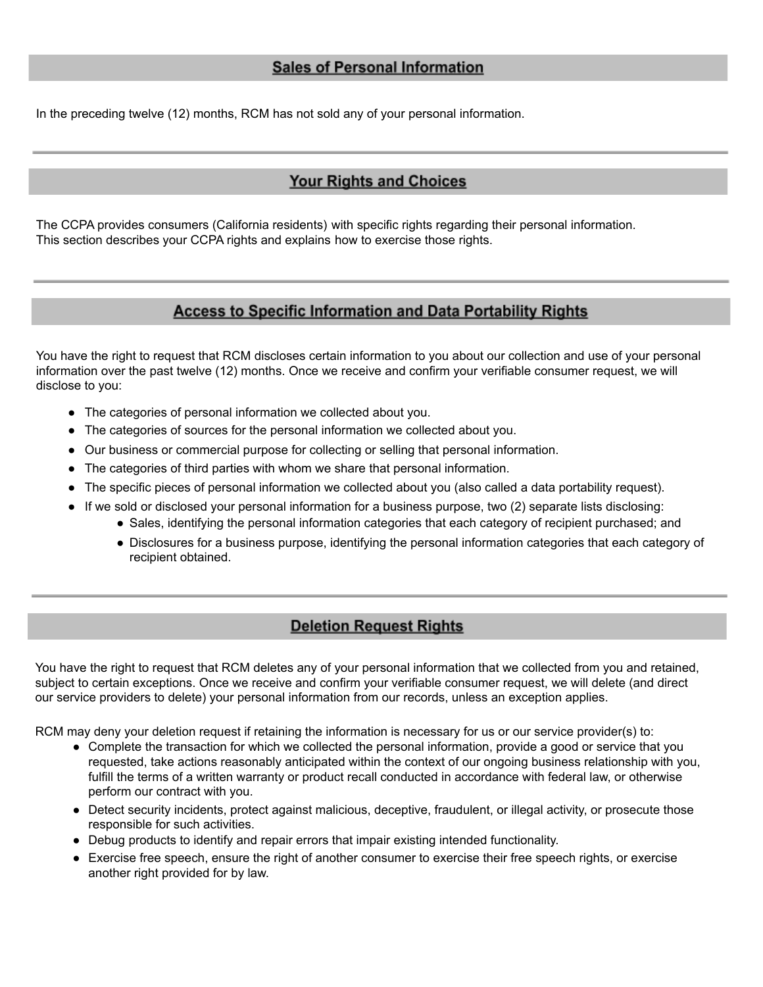In the preceding twelve (12) months, RCM has not sold any of your personal information.

## **Your Rights and Choices**

The CCPA provides consumers (California residents) with specific rights regarding their personal information. This section describes your CCPA rights and explains how to exercise those rights.

### **Access to Specific Information and Data Portability Rights**

You have the right to request that RCM discloses certain information to you about our collection and use of your personal information over the past twelve (12) months. Once we receive and confirm your verifiable consumer request, we will disclose to you:

- The categories of personal information we collected about you.
- The categories of sources for the personal information we collected about you.
- Our business or commercial purpose for collecting or selling that personal information.
- The categories of third parties with whom we share that personal information.
- The specific pieces of personal information we collected about you (also called a data portability request).
- If we sold or disclosed your personal information for a business purpose, two (2) separate lists disclosing:
	- Sales, identifying the personal information categories that each category of recipient purchased; and
	- Disclosures for a business purpose, identifying the personal information categories that each category of recipient obtained.

#### **Deletion Request Rights**

You have the right to request that RCM deletes any of your personal information that we collected from you and retained, subject to certain exceptions. Once we receive and confirm your verifiable consumer request, we will delete (and direct our service providers to delete) your personal information from our records, unless an exception applies.

RCM may deny your deletion request if retaining the information is necessary for us or our service provider(s) to:

- Complete the transaction for which we collected the personal information, provide a good or service that you requested, take actions reasonably anticipated within the context of our ongoing business relationship with you, fulfill the terms of a written warranty or product recall conducted in accordance with federal law, or otherwise perform our contract with you.
- Detect security incidents, protect against malicious, deceptive, fraudulent, or illegal activity, or prosecute those responsible for such activities.
- Debug products to identify and repair errors that impair existing intended functionality.
- Exercise free speech, ensure the right of another consumer to exercise their free speech rights, or exercise another right provided for by law.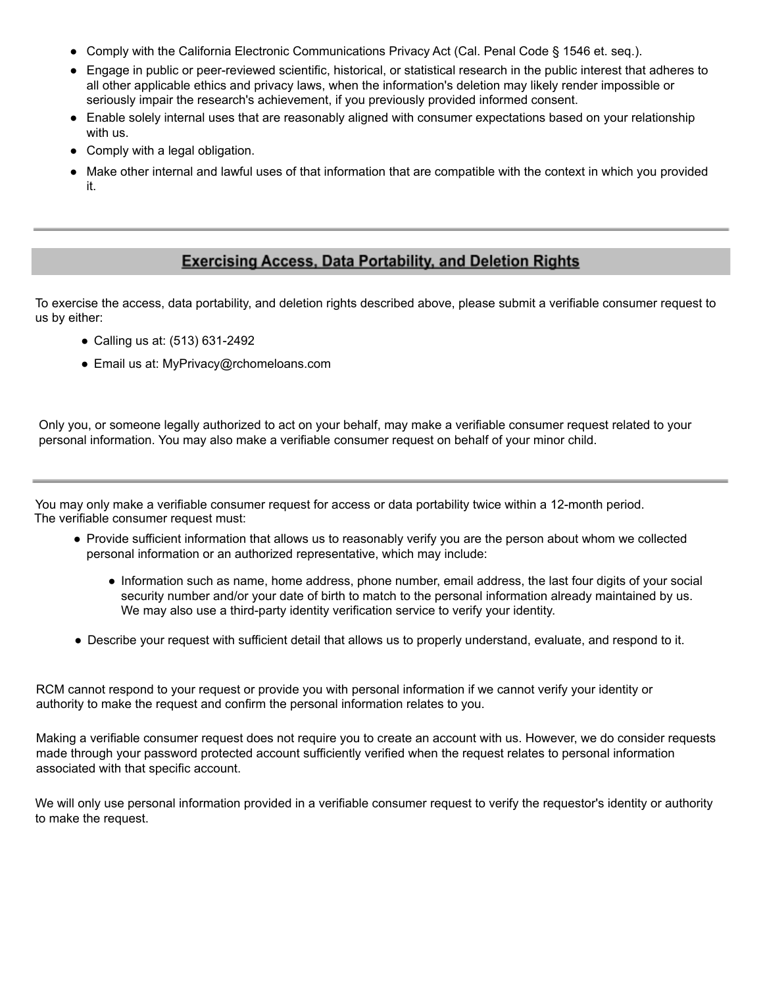- Comply with the California Electronic Communications Privacy Act (Cal. Penal Code § 1546 et. seq.).
- Engage in public or peer-reviewed scientific, historical, or statistical research in the public interest that adheres to all other applicable ethics and privacy laws, when the information's deletion may likely render impossible or seriously impair the research's achievement, if you previously provided informed consent.
- Enable solely internal uses that are reasonably aligned with consumer expectations based on your relationship with us.
- Comply with a legal obligation.
- Make other internal and lawful uses of that information that are compatible with the context in which you provided it.

## **Exercising Access, Data Portability, and Deletion Rights**

To exercise the access, data portability, and deletion rights described above, please submit a verifiable consumer request to us by either:

- Calling us at: (513) 631-2492
- Email us at: MyPrivacy@rchomeloans.com

Only you, or someone legally authorized to act on your behalf, may make a verifiable consumer request related to your personal information. You may also make a verifiable consumer request on behalf of your minor child.

You may only make a verifiable consumer request for access or data portability twice within a 12-month period. The verifiable consumer request must:

- Provide sufficient information that allows us to reasonably verify you are the person about whom we collected personal information or an authorized representative, which may include:
	- Information such as name, home address, phone number, email address, the last four digits of your social security number and/or your date of birth to match to the personal information already maintained by us. We may also use a third-party identity verification service to verify your identity.
- Describe your request with sufficient detail that allows us to properly understand, evaluate, and respond to it.

RCM cannot respond to your request or provide you with personal information if we cannot verify your identity or authority to make the request and confirm the personal information relates to you.

Making a verifiable consumer request does not require you to create an account with us. However, we do consider requests made through your password protected account sufficiently verified when the request relates to personal information associated with that specific account.

We will only use personal information provided in a verifiable consumer request to verify the requestor's identity or authority to make the request.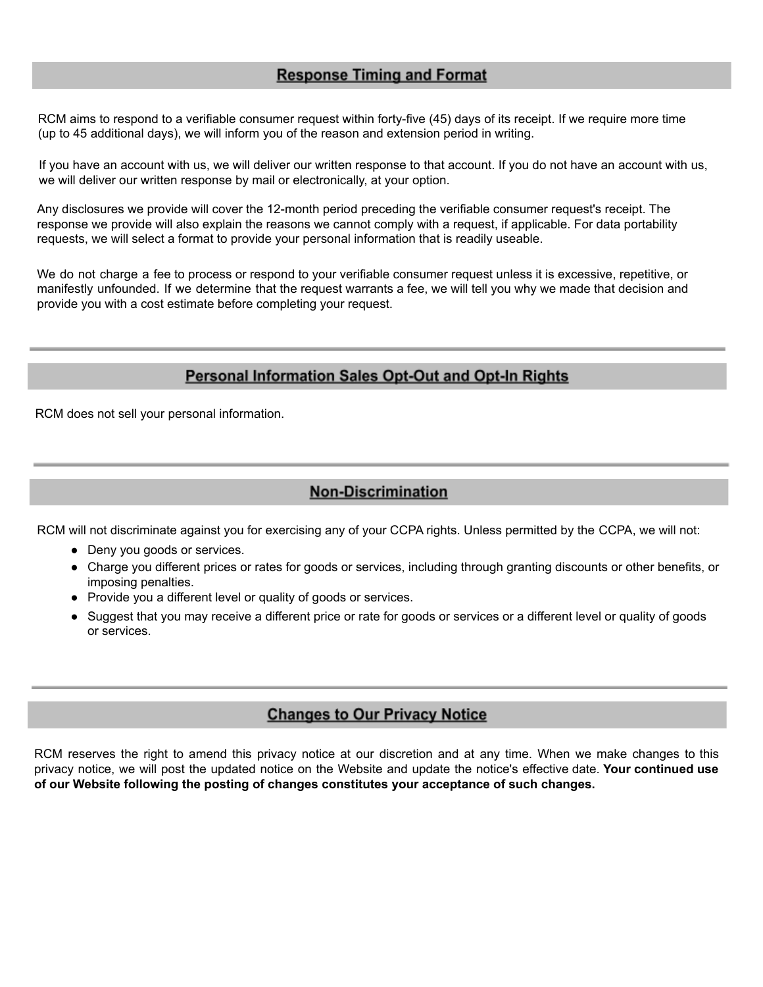## **Response Timing and Format**

RCM aims to respond to a verifiable consumer request within forty-five (45) days of its receipt. If we require more time (up to 45 additional days), we will inform you of the reason and extension period in writing.

If you have an account with us, we will deliver our written response to that account. If you do not have an account with us, we will deliver our written response by mail or electronically, at your option.

Any disclosures we provide will cover the 12-month period preceding the verifiable consumer request's receipt. The response we provide will also explain the reasons we cannot comply with a request, if applicable. For data portability requests, we will select a format to provide your personal information that is readily useable.

We do not charge a fee to process or respond to your verifiable consumer request unless it is excessive, repetitive, or manifestly unfounded. If we determine that the request warrants a fee, we will tell you why we made that decision and provide you with a cost estimate before completing your request.

#### **Personal Information Sales Opt-Out and Opt-In Rights**

RCM does not sell your personal information.

#### **Non-Discrimination**

RCM will not discriminate against you for exercising any of your CCPA rights. Unless permitted by the CCPA, we will not:

- Deny you goods or services.
- Charge you different prices or rates for goods or services, including through granting discounts or other benefits, or imposing penalties.
- Provide you a different level or quality of goods or services.
- Suggest that you may receive a different price or rate for goods or services or a different level or quality of goods or services.

#### **Changes to Our Privacy Notice**

RCM reserves the right to amend this privacy notice at our discretion and at any time. When we make changes to this privacy notice, we will post the updated notice on the Website and update the notice's effective date. **Your continued use of our Website following the posting of changes constitutes your acceptance of such changes.**